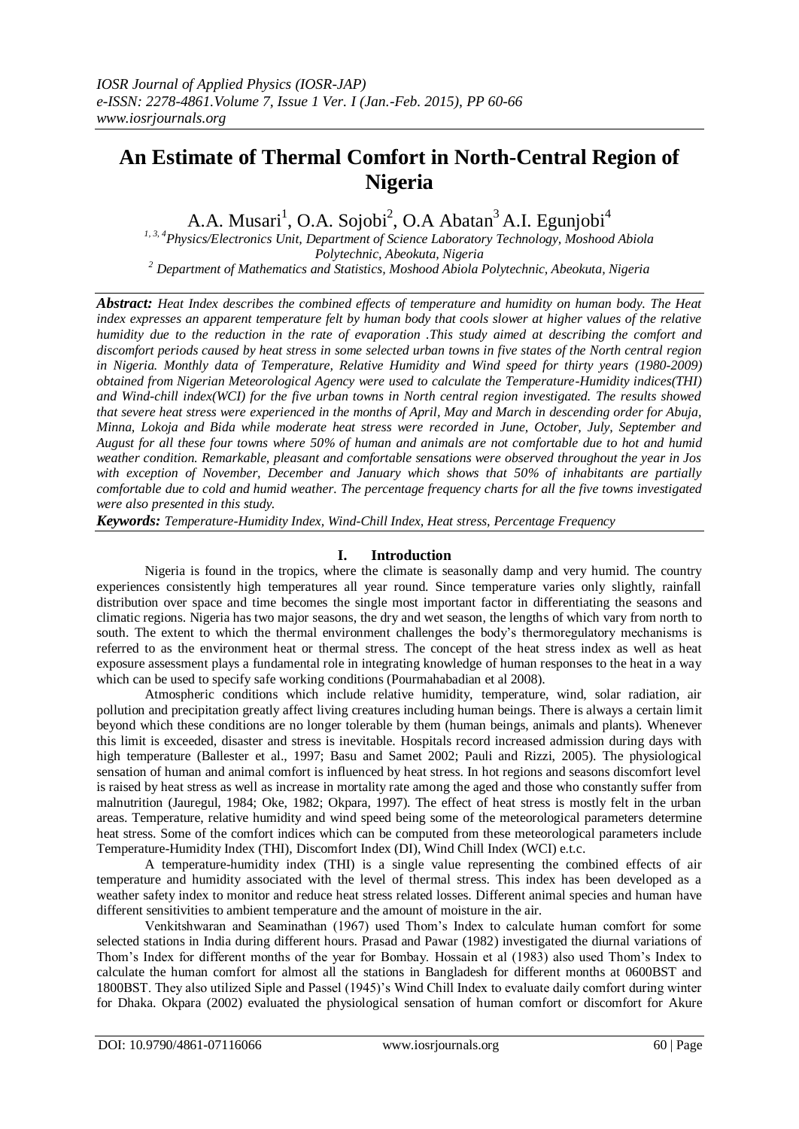# **An Estimate of Thermal Comfort in North-Central Region of Nigeria**

A.A. Musari<sup>1</sup>, O.A. Sojobi<sup>2</sup>, O.A Abatan<sup>3</sup> A.I. Egunjobi<sup>4</sup>

*1, 3, 4Physics/Electronics Unit, Department of Science Laboratory Technology, Moshood Abiola Polytechnic, Abeokuta, Nigeria <sup>2</sup> Department of Mathematics and Statistics, Moshood Abiola Polytechnic, Abeokuta, Nigeria*

*Abstract: Heat Index describes the combined effects of temperature and humidity on human body. The Heat index expresses an apparent temperature felt by human body that cools slower at higher values of the relative humidity due to the reduction in the rate of evaporation .This study aimed at describing the comfort and discomfort periods caused by heat stress in some selected urban towns in five states of the North central region in Nigeria. Monthly data of Temperature, Relative Humidity and Wind speed for thirty years (1980-2009) obtained from Nigerian Meteorological Agency were used to calculate the Temperature-Humidity indices(THI) and Wind-chill index(WCI) for the five urban towns in North central region investigated. The results showed that severe heat stress were experienced in the months of April, May and March in descending order for Abuja, Minna, Lokoja and Bida while moderate heat stress were recorded in June, October, July, September and August for all these four towns where 50% of human and animals are not comfortable due to hot and humid weather condition. Remarkable, pleasant and comfortable sensations were observed throughout the year in Jos with exception of November, December and January which shows that 50% of inhabitants are partially comfortable due to cold and humid weather. The percentage frequency charts for all the five towns investigated were also presented in this study.*

*Keywords: Temperature-Humidity Index, Wind-Chill Index, Heat stress, Percentage Frequency*

# **I. Introduction**

Nigeria is found in the tropics, where the climate is seasonally damp and very humid. The country experiences consistently high temperatures all year round. Since temperature varies only slightly, rainfall distribution over space and time becomes the single most important factor in differentiating the seasons and climatic regions. Nigeria has two major seasons, the dry and wet season, the lengths of which vary from north to south. The extent to which the thermal environment challenges the body's thermoregulatory mechanisms is referred to as the environment heat or thermal stress. The concept of the heat stress index as well as heat exposure assessment plays a fundamental role in integrating knowledge of human responses to the heat in a way which can be used to specify safe working conditions (Pourmahabadian et al 2008).

Atmospheric conditions which include relative humidity, temperature, wind, solar radiation, air pollution and precipitation greatly affect living creatures including human beings. There is always a certain limit beyond which these conditions are no longer tolerable by them (human beings, animals and plants). Whenever this limit is exceeded, disaster and stress is inevitable. Hospitals record increased admission during days with high temperature (Ballester et al., 1997; Basu and Samet 2002; Pauli and Rizzi, 2005). The physiological sensation of human and animal comfort is influenced by heat stress. In hot regions and seasons discomfort level is raised by heat stress as well as increase in mortality rate among the aged and those who constantly suffer from malnutrition (Jauregul, 1984; Oke, 1982; Okpara, 1997). The effect of heat stress is mostly felt in the urban areas. Temperature, relative humidity and wind speed being some of the meteorological parameters determine heat stress. Some of the comfort indices which can be computed from these meteorological parameters include Temperature-Humidity Index (THI), Discomfort Index (DI), Wind Chill Index (WCI) e.t.c.

A temperature-humidity index (THI) is a single value representing the combined effects of air temperature and humidity associated with the level of thermal stress. This index has been developed as a weather safety index to monitor and reduce heat stress related losses. Different animal species and human have different sensitivities to ambient temperature and the amount of moisture in the air.

Venkitshwaran and Seaminathan (1967) used Thom's Index to calculate human comfort for some selected stations in India during different hours. Prasad and Pawar (1982) investigated the diurnal variations of Thom's Index for different months of the year for Bombay. Hossain et al (1983) also used Thom's Index to calculate the human comfort for almost all the stations in Bangladesh for different months at 0600BST and 1800BST. They also utilized Siple and Passel (1945)'s Wind Chill Index to evaluate daily comfort during winter for Dhaka. Okpara (2002) evaluated the physiological sensation of human comfort or discomfort for Akure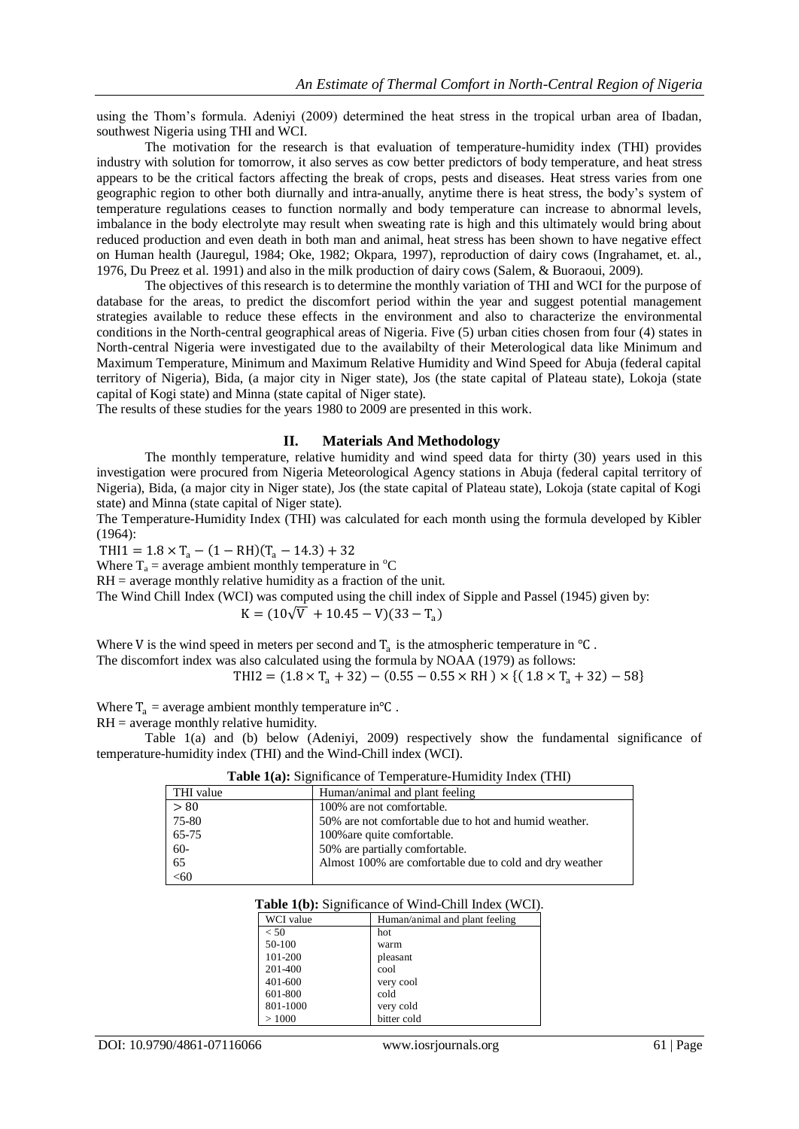using the Thom's formula. Adeniyi (2009) determined the heat stress in the tropical urban area of Ibadan, southwest Nigeria using THI and WCI.

The motivation for the research is that evaluation of temperature-humidity index (THI) provides industry with solution for tomorrow, it also serves as cow better predictors of body temperature, and heat stress appears to be the critical factors affecting the break of crops, pests and diseases. Heat stress varies from one geographic region to other both diurnally and intra-anually, anytime there is heat stress, the body's system of temperature regulations ceases to function normally and body temperature can increase to abnormal levels, imbalance in the body electrolyte may result when sweating rate is high and this ultimately would bring about reduced production and even death in both man and animal, heat stress has been shown to have negative effect on Human health (Jauregul, 1984; Oke, 1982; Okpara, 1997), reproduction of dairy cows (Ingrahamet, et. al., 1976, Du Preez et al. 1991) and also in the milk production of dairy cows (Salem, & Buoraoui, 2009).

The objectives of this research is to determine the monthly variation of THI and WCI for the purpose of database for the areas, to predict the discomfort period within the year and suggest potential management strategies available to reduce these effects in the environment and also to characterize the environmental conditions in the North-central geographical areas of Nigeria. Five (5) urban cities chosen from four (4) states in North-central Nigeria were investigated due to the availabilty of their Meterological data like Minimum and Maximum Temperature, Minimum and Maximum Relative Humidity and Wind Speed for Abuja (federal capital territory of Nigeria), Bida, (a major city in Niger state), Jos (the state capital of Plateau state), Lokoja (state capital of Kogi state) and Minna (state capital of Niger state).

The results of these studies for the years 1980 to 2009 are presented in this work.

## **II. Materials And Methodology**

The monthly temperature, relative humidity and wind speed data for thirty (30) years used in this investigation were procured from Nigeria Meteorological Agency stations in Abuja (federal capital territory of Nigeria), Bida, (a major city in Niger state), Jos (the state capital of Plateau state), Lokoja (state capital of Kogi state) and Minna (state capital of Niger state).

The Temperature-Humidity Index (THI) was calculated for each month using the formula developed by Kibler (1964):

 $THI1 = 1.8 \times T_a - (1 - RH)(T_a - 14.3) + 32$ 

Where  $T_a$  = average ambient monthly temperature in  $^{\circ}C$ 

 $RH =$  average monthly relative humidity as a fraction of the unit.

The Wind Chill Index (WCI) was computed using the chill index of Sipple and Passel (1945) given by:

$$
K = (10\sqrt{V} + 10.45 - V)(33 - T_a)
$$

Where V is the wind speed in meters per second and  $T_a$  is the atmospheric temperature in  $\degree C$ . The discomfort index was also calculated using the formula by NOAA (1979) as follows:

THI2 =  $(1.8 \times T_a + 32) - (0.55 - 0.55 \times RH) \times (1.8 \times T_a + 32) - 58$ 

Where  $T_a$  = average ambient monthly temperature in °C.

RH = average monthly relative humidity.

Table 1(a) and (b) below (Adeniyi, 2009) respectively show the fundamental significance of temperature-humidity index (THI) and the Wind-Chill index (WCI).

| Table 1(a): Significance of Temperature-Humidity Index (THI) |  |
|--------------------------------------------------------------|--|
|                                                              |  |

| THI value | Human/animal and plant feeling                          |
|-----------|---------------------------------------------------------|
| > 80      | 100% are not comfortable.                               |
| 75-80     | 50% are not comfortable due to hot and humid weather.   |
| 65-75     | 100% are quite comfortable.                             |
| $60-$     | 50% are partially comfortable.                          |
| 65        | Almost 100% are comfortable due to cold and dry weather |
| <,60      |                                                         |

### **Table 1(b):** Significance of Wind-Chill Index (WCI).

| WCI value | Human/animal and plant feeling |
|-----------|--------------------------------|
| < 50      | hot                            |
| 50-100    | warm                           |
| 101-200   | pleasant                       |
| 201-400   | cool                           |
| 401-600   | very cool                      |
| 601-800   | cold                           |
| 801-1000  | very cold                      |
| >1000     | bitter cold                    |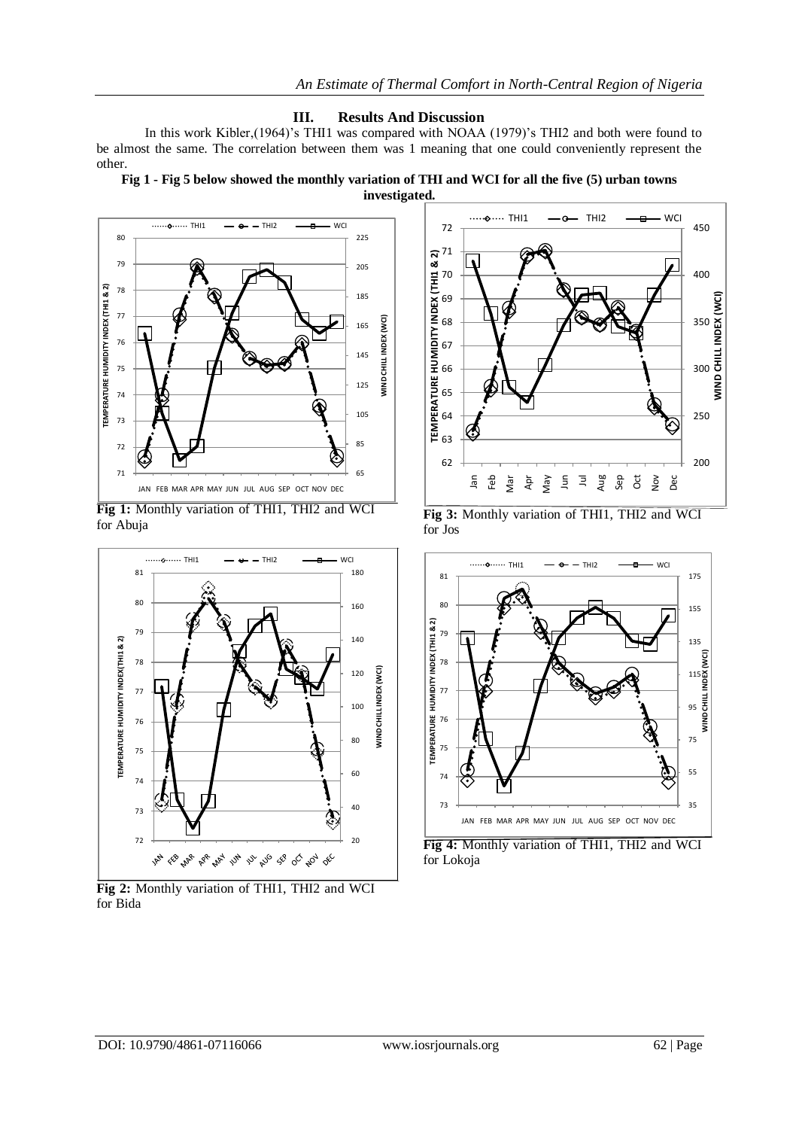# **III. Results And Discussion**

In this work Kibler,(1964)'s THI1 was compared with NOAA (1979)'s THI2 and both were found to be almost the same. The correlation between them was 1 meaning that one could conveniently represent the other.

**Fig 1 - Fig 5 below showed the monthly variation of THI and WCI for all the five (5) urban towns** 



**Fig 1:** Monthly variation of THI1, THI2 and WCI for Abuja



**Fig 2:** Monthly variation of THI1, THI2 and WCI for Bida



**Fig 3:** Monthly variation of THI1, THI2 and WCI for Jos



**Fig 4:** Monthly variation of THI1, THI2 and WCI for Lokoja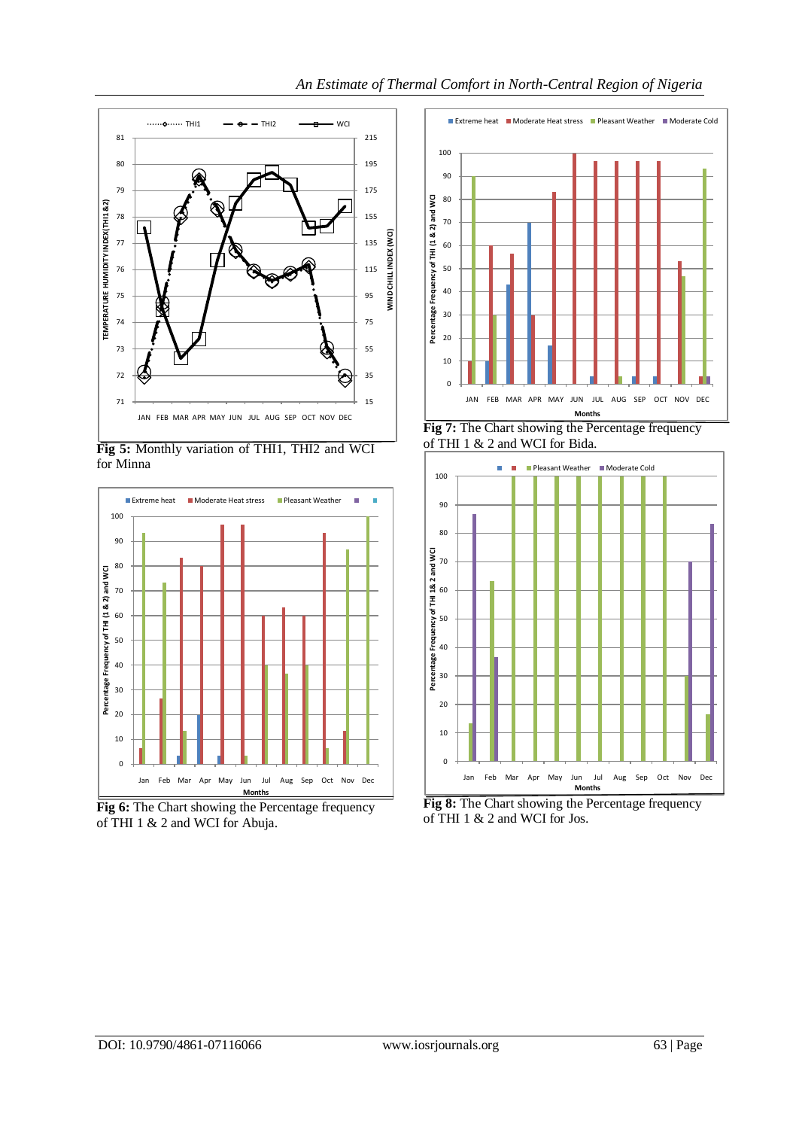

**Fig 5:** Monthly variation of THI1, THI2 and WCI for Minna



Fig 6: The Chart showing the Percentage frequency of THI 1 & 2 and WCI for Abuja.



**Fig 7:** The Chart showing the Percentage frequency of THI 1 & 2 and WCI for Bida.



**Fig 8:** The Chart showing the Percentage frequency of THI 1 & 2 and WCI for Jos.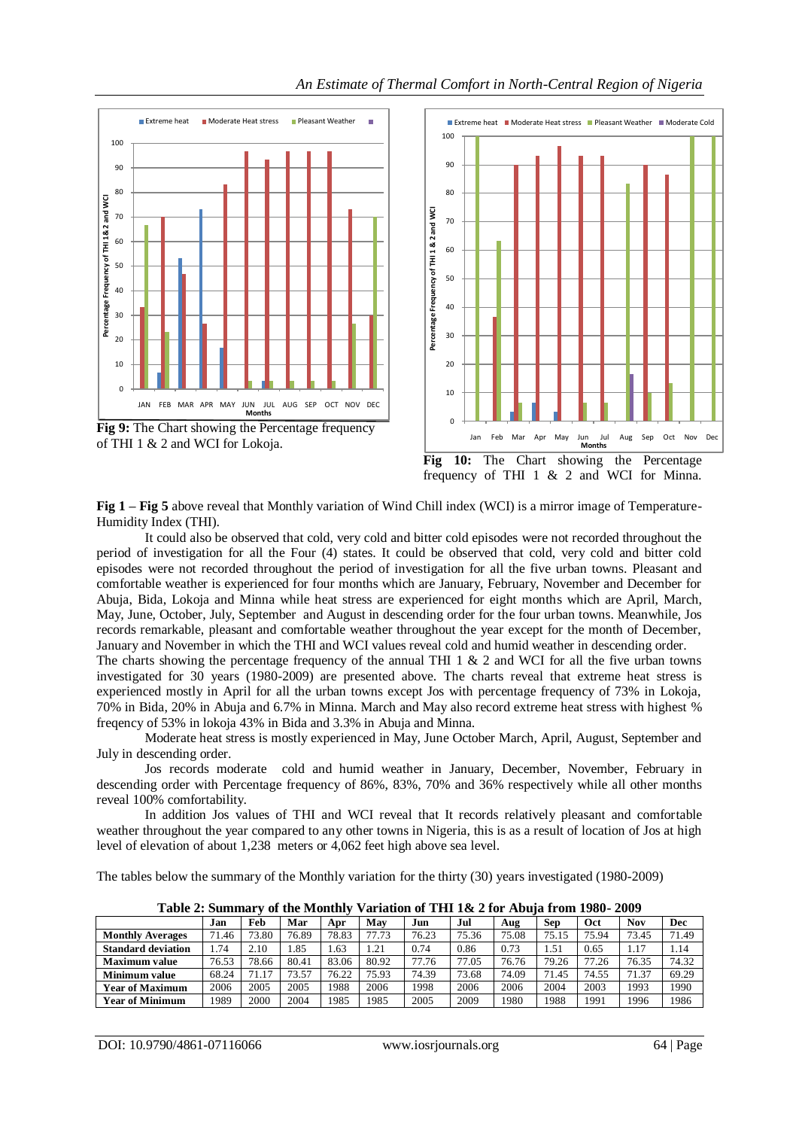

of THI 1 & 2 and WCI for Lokoja.



Jan Feb Mar Apr May Jun Jul Aug Sep Oct Nov Dec

**Months**

**Fig 1 – Fig 5** above reveal that Monthly variation of Wind Chill index (WCI) is a mirror image of Temperature-Humidity Index (THI).

It could also be observed that cold, very cold and bitter cold episodes were not recorded throughout the period of investigation for all the Four (4) states. It could be observed that cold, very cold and bitter cold episodes were not recorded throughout the period of investigation for all the five urban towns. Pleasant and comfortable weather is experienced for four months which are January, February, November and December for Abuja, Bida, Lokoja and Minna while heat stress are experienced for eight months which are April, March, May, June, October, July, September and August in descending order for the four urban towns. Meanwhile, Jos records remarkable, pleasant and comfortable weather throughout the year except for the month of December, January and November in which the THI and WCI values reveal cold and humid weather in descending order. The charts showing the percentage frequency of the annual THI 1 & 2 and WCI for all the five urban towns investigated for 30 years (1980-2009) are presented above. The charts reveal that extreme heat stress is

experienced mostly in April for all the urban towns except Jos with percentage frequency of 73% in Lokoja, 70% in Bida, 20% in Abuja and 6.7% in Minna. March and May also record extreme heat stress with highest % freqency of 53% in lokoja 43% in Bida and 3.3% in Abuja and Minna.

Moderate heat stress is mostly experienced in May, June October March, April, August, September and July in descending order.

Jos records moderate cold and humid weather in January, December, November, February in descending order with Percentage frequency of 86%, 83%, 70% and 36% respectively while all other months reveal 100% comfortability.

In addition Jos values of THI and WCI reveal that It records relatively pleasant and comfortable weather throughout the year compared to any other towns in Nigeria, this is as a result of location of Jos at high level of elevation of about 1,238 meters or 4,062 feet high above sea level.

The tables below the summary of the Monthly variation for the thirty (30) years investigated (1980-2009)

| - - - - - - - - - - - - - - - - - - |       |       |       |       |       |       |       |       |            |       |       |            |  |
|-------------------------------------|-------|-------|-------|-------|-------|-------|-------|-------|------------|-------|-------|------------|--|
|                                     | Jan   | Feb   | Mar   | Apr   | May   | Jun   | Jul   | Aug   | <b>Sep</b> | Oct   | Nov   | <b>Dec</b> |  |
| <b>Monthly Averages</b>             | 71.46 | 73.80 | 76.89 | 78.83 | 77.73 | 76.23 | 75.36 | 75.08 | 75.15      | 75.94 | 73.45 | 71.49      |  |
| <b>Standard deviation</b>           | 1.74  | 2.10  | 1.85  | . 63  | 1.21  | 0.74  | 0.86  | 0.73  | . . 51     | 0.65  | 1.17  | 1.14       |  |
| Maximum value                       | 76.53 | 78.66 | 80.41 | 83.06 | 80.92 | 77.76 | 77.05 | 76.76 | 79.26      | 77.26 | 76.35 | 74.32      |  |
| <b>Minimum value</b>                | 68.24 | 71.17 | 73.57 | 76.22 | 75.93 | 74.39 | 73.68 | 74.09 | 71.45      | 74.55 | 71.37 | 69.29      |  |
| <b>Year of Maximum</b>              | 2006  | 2005  | 2005  | 1988  | 2006  | 1998  | 2006  | 2006  | 2004       | 2003  | 1993  | 1990       |  |
| <b>Year of Minimum</b>              | 1989  | 2000  | 2004  | 1985  | 1985  | 2005  | 2009  | 1980  | 1988       | 1991  | 1996  | 1986       |  |

**Table 2: Summary of the Monthly Variation of THI 1& 2 for Abuja from 1980- 2009**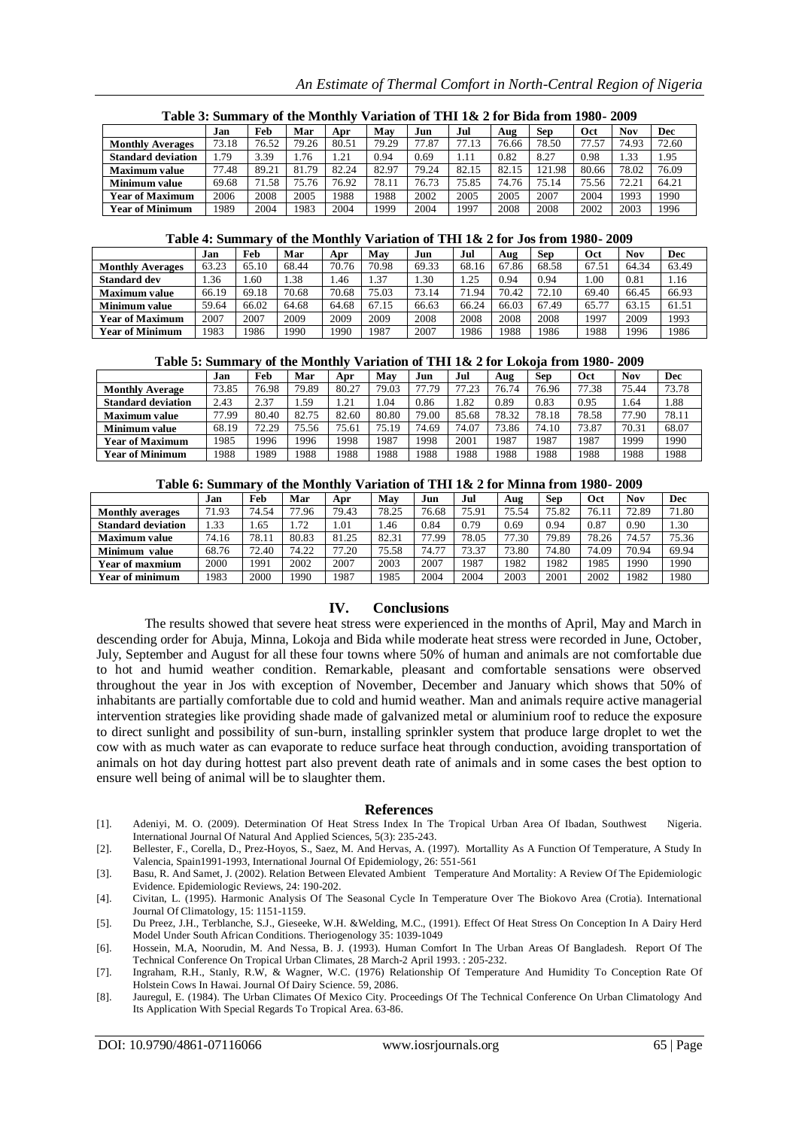| Table 3: Summary of the Monthly Variation of THI 1& 2 for Bida from 1980-2009 |       |       |       |            |       |       |       |       |            |       |            |            |  |
|-------------------------------------------------------------------------------|-------|-------|-------|------------|-------|-------|-------|-------|------------|-------|------------|------------|--|
|                                                                               | Jan   | Feb   | Mar   | Apr        | May   | Jun   | Jul   | Aug   | <b>Sep</b> | Oct   | <b>Nov</b> | <b>Dec</b> |  |
| <b>Monthly Averages</b>                                                       | 73.18 | 76.52 | 79.26 | 80.51      | 79.29 | 77.87 | 77.13 | 76.66 | 78.50      | 77.57 | 74.93      | 72.60      |  |
| <b>Standard deviation</b>                                                     | 1.79  | 3.39  | 1.76  | $\cdot$ 21 | 0.94  | 0.69  | 1.11  | 0.82  | 8.27       | 0.98  | 1.33       | 1.95       |  |
| <b>Maximum value</b>                                                          | 77.48 | 89.21 | 81.79 | 82.24      | 82.97 | 79.24 | 82.15 | 82.15 | 121.98     | 80.66 | 78.02      | 76.09      |  |
| <b>Minimum value</b>                                                          | 69.68 | 71.58 | 75.76 | 76.92      | 78.11 | 76.73 | 75.85 | 74.76 | 75.14      | 75.56 | 72.21      | 64.21      |  |
| <b>Year of Maximum</b>                                                        | 2006  | 2008  | 2005  | 1988       | 1988  | 2002  | 2005  | 2005  | 2007       | 2004  | 1993       | 1990       |  |
| <b>Year of Minimum</b>                                                        | 1989  | 2004  | 1983  | 2004       | 999   | 2004  | 1997  | 2008  | 2008       | 2002  | 2003       | 1996       |  |

## *An Estimate of Thermal Comfort in North-Central Region of Nigeria*

#### **Table 4: Summary of the Monthly Variation of THI 1& 2 for Jos from 1980- 2009**

|                         | Jan   | Feb   | Mar   | Apr   | May   | Jun   | Jul   | Aug   | Sep   | Oct   | Nov   | Dec   |  |
|-------------------------|-------|-------|-------|-------|-------|-------|-------|-------|-------|-------|-------|-------|--|
| <b>Monthly Averages</b> | 63.23 | 65.10 | 68.44 | 70.76 | 70.98 | 69.33 | 68.16 | 67.86 | 68.58 | 67.51 | 64.34 | 63.49 |  |
| <b>Standard dev</b>     | .36   | 60    | . 38  | .46   | 1.37  | . 30  | .25   | 0.94  | 0.94  | .00.  | 0.81  | .16   |  |
| Maximum value           | 66.19 | 69.18 | 70.68 | 70.68 | 75.03 | 73.14 | 71.94 | 70.42 | 72.10 | 69.40 | 66.45 | 66.93 |  |
| <b>Minimum value</b>    | 59.64 | 66.02 | 64.68 | 64.68 | 67.15 | 66.63 | 66.24 | 66.03 | 67.49 | 65.77 | 63.15 | 61.51 |  |
| <b>Year of Maximum</b>  | 2007  | 2007  | 2009  | 2009  | 2009  | 2008  | 2008  | 2008  | 2008  | 1997  | 2009  | 1993  |  |
| <b>Year of Minimum</b>  | 983   | 986   | 1990  | 1990  | 1987  | 2007  | 1986  | 1988  | 1986  | 1988  | 1996  | 1986  |  |

#### **Table 5: Summary of the Monthly Variation of THI 1& 2 for Lokoja from 1980- 2009**

|                           | Jan   | Feb   | Mar   | Apr   | May   | Jun   | Jul   | Aug   | <b>Sep</b> | Oct   | <b>Nov</b> | Dec   |
|---------------------------|-------|-------|-------|-------|-------|-------|-------|-------|------------|-------|------------|-------|
| <b>Monthly Average</b>    | 73.85 | 76.98 | 79.89 | 80.27 | 79.03 | 77.79 | 77.23 | 76.74 | 76.96      | 77.38 | 75.44      | 73.78 |
| <b>Standard deviation</b> | 2.43  | 2.37  | . .59 | 1.21  | .04   | 0.86  | 1.82  | 0.89  | 0.83       | 0.95  | . .64      | 1.88  |
| <b>Maximum value</b>      | 77.99 | 80.40 | 82.75 | 82.60 | 80.80 | 79.00 | 85.68 | 78.32 | 78.18      | 78.58 | 77.90      | 78.11 |
| <b>Minimum value</b>      | 68.19 | 72.29 | 75.56 | 75.61 | 75.19 | 74.69 | 74.07 | 73.86 | 74.10      | 73.87 | 70.31      | 68.07 |
| <b>Year of Maximum</b>    | 1985  | 1996  | 1996  | 1998  | 1987  | !998  | 2001  | 1987  | 1987       | 1987  | 1999       | 1990  |
| <b>Year of Minimum</b>    | 1988  | 1989  | 1988  | 1988  | 1988  | 1988  | 988   | 1988  | 1988       | 1988  | 1988       | 1988  |

#### **Table 6: Summary of the Monthly Variation of THI 1& 2 for Minna from 1980- 2009**

| ---------------------<br>---------- |       |       |       |       |       |       |       |       |            |       |            |            |
|-------------------------------------|-------|-------|-------|-------|-------|-------|-------|-------|------------|-------|------------|------------|
|                                     | Jan   | Feb   | Mar   | Apr   | May   | Jun   | Jul   | Aug   | <b>Sep</b> | Oct   | <b>Nov</b> | <b>Dec</b> |
| <b>Monthly averages</b>             | 71.93 | 74.54 | 77.96 | 79.43 | 78.25 | 76.68 | 75.91 | 75.54 | 75.82      | 76.11 | 72.89      | 71.80      |
| <b>Standard deviation</b>           | 1.33  | . .65 | 1.72  | . 01  | .46   | 0.84  | 0.79  | 0.69  | 0.94       | 0.87  | 0.90       | 1.30       |
| <b>Maximum value</b>                | 74.16 | 78.11 | 80.83 | 81.25 | 82.31 | 77.99 | 78.05 | 77.30 | 79.89      | 78.26 | 74.57      | 75.36      |
| Minimum value                       | 68.76 | 72.40 | 74.22 | 77.20 | 75.58 | 74.77 | 73.37 | 73.80 | 74.80      | 74.09 | 70.94      | 69.94      |
| <b>Year of maxmium</b>              | 2000  | 1991  | 2002  | 2007  | 2003  | 2007  | 1987  | 1982  | 1982       | 1985  | 1990       | 1990       |
| Year of minimum                     | 1983  | 2000  | 990   | 987   | 1985  | 2004  | 2004  | 2003  | 2001       | 2002  | 1982       | 1980       |

## **IV. Conclusions**

The results showed that severe heat stress were experienced in the months of April, May and March in descending order for Abuja, Minna, Lokoja and Bida while moderate heat stress were recorded in June, October, July, September and August for all these four towns where 50% of human and animals are not comfortable due to hot and humid weather condition. Remarkable, pleasant and comfortable sensations were observed throughout the year in Jos with exception of November, December and January which shows that 50% of inhabitants are partially comfortable due to cold and humid weather. Man and animals require active managerial intervention strategies like providing shade made of galvanized metal or aluminium roof to reduce the exposure to direct sunlight and possibility of sun-burn, installing sprinkler system that produce large droplet to wet the cow with as much water as can evaporate to reduce surface heat through conduction, avoiding transportation of animals on hot day during hottest part also prevent death rate of animals and in some cases the best option to ensure well being of animal will be to slaughter them.

#### **References**

[1]. Adeniyi, M. O. (2009). Determination Of Heat Stress Index In The Tropical Urban Area Of Ibadan, Southwest Nigeria. International Journal Of Natural And Applied Sciences, 5(3): 235-243.

[2]. Bellester, F., Corella, D., Prez-Hoyos, S., Saez, M. And Hervas, A. (1997). Mortallity As A Function Of Temperature, A Study In Valencia, Spain1991-1993, International Journal Of Epidemiology, 26: 551-561

[3]. Basu, R. And Samet, J. (2002). Relation Between Elevated Ambient Temperature And Mortality: A Review Of The Epidemiologic Evidence. Epidemiologic Reviews, 24: 190-202.

[4]. Civitan, L. (1995). Harmonic Analysis Of The Seasonal Cycle In Temperature Over The Biokovo Area (Crotia). International Journal Of Climatology, 15: 1151-1159.

[5]. Du Preez, J.H., Terblanche, S.J., Gieseeke, W.H. &Welding, M.C., (1991). Effect Of Heat Stress On Conception In A Dairy Herd Model Under South African Conditions. Theriogenology 35: 1039-1049

[6]. Hossein, M.A, Noorudin, M. And Nessa, B. J. (1993). Human Comfort In The Urban Areas Of Bangladesh. Report Of The Technical Conference On Tropical Urban Climates, 28 March-2 April 1993. : 205-232.

[7]. Ingraham, R.H., Stanly, R.W, & Wagner, W.C. (1976) Relationship Of Temperature And Humidity To Conception Rate Of Holstein Cows In Hawai. Journal Of Dairy Science. 59, 2086.

[8]. Jauregul, E. (1984). The Urban Climates Of Mexico City. Proceedings Of The Technical Conference On Urban Climatology And Its Application With Special Regards To Tropical Area. 63-86.